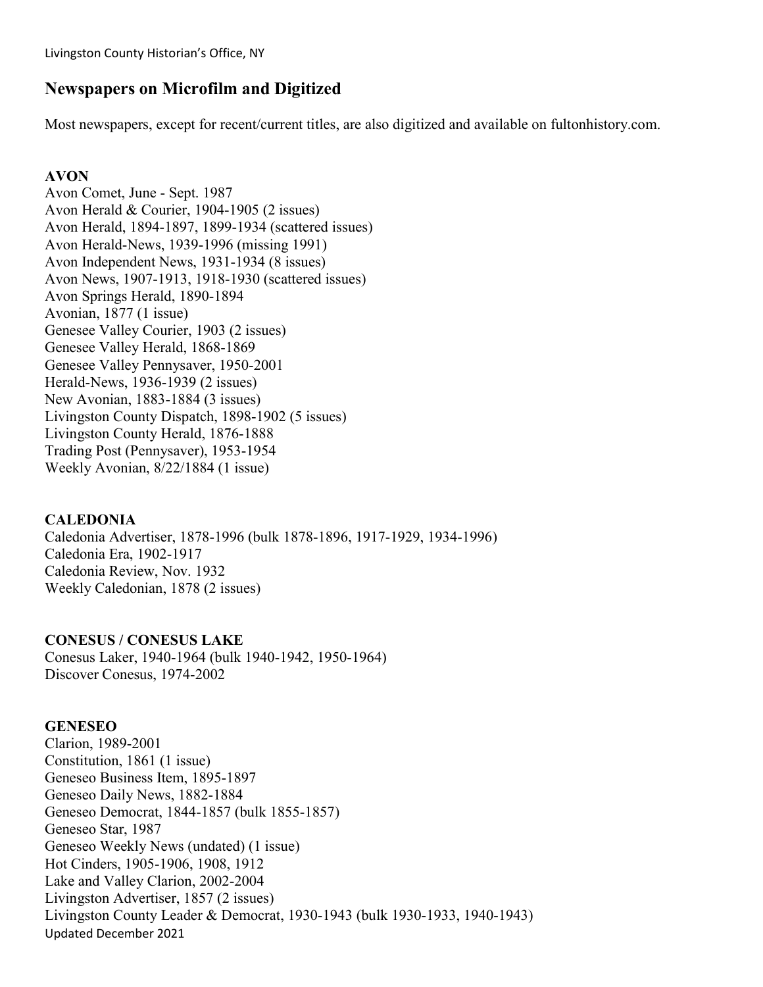Livingston County Historian's Office, NY

# Newspapers on Microfilm and Digitized

Most newspapers, except for recent/current titles, are also digitized and available on fultonhistory.com.

## AVON

Avon Comet, June - Sept. 1987 Avon Herald & Courier, 1904-1905 (2 issues) Avon Herald, 1894-1897, 1899-1934 (scattered issues) Avon Herald-News, 1939-1996 (missing 1991) Avon Independent News, 1931-1934 (8 issues) Avon News, 1907-1913, 1918-1930 (scattered issues) Avon Springs Herald, 1890-1894 Avonian, 1877 (1 issue) Genesee Valley Courier, 1903 (2 issues) Genesee Valley Herald, 1868-1869 Genesee Valley Pennysaver, 1950-2001 Herald-News, 1936-1939 (2 issues) New Avonian, 1883-1884 (3 issues) Livingston County Dispatch, 1898-1902 (5 issues) Livingston County Herald, 1876-1888 Trading Post (Pennysaver), 1953-1954 Weekly Avonian, 8/22/1884 (1 issue)

#### CALEDONIA

Caledonia Advertiser, 1878-1996 (bulk 1878-1896, 1917-1929, 1934-1996) Caledonia Era, 1902-1917 Caledonia Review, Nov. 1932 Weekly Caledonian, 1878 (2 issues)

#### CONESUS / CONESUS LAKE

Conesus Laker, 1940-1964 (bulk 1940-1942, 1950-1964) Discover Conesus, 1974-2002

# GENESEO

Updated December 2021 Clarion, 1989-2001 Constitution, 1861 (1 issue) Geneseo Business Item, 1895-1897 Geneseo Daily News, 1882-1884 Geneseo Democrat, 1844-1857 (bulk 1855-1857) Geneseo Star, 1987 Geneseo Weekly News (undated) (1 issue) Hot Cinders, 1905-1906, 1908, 1912 Lake and Valley Clarion, 2002-2004 Livingston Advertiser, 1857 (2 issues) Livingston County Leader & Democrat, 1930-1943 (bulk 1930-1933, 1940-1943)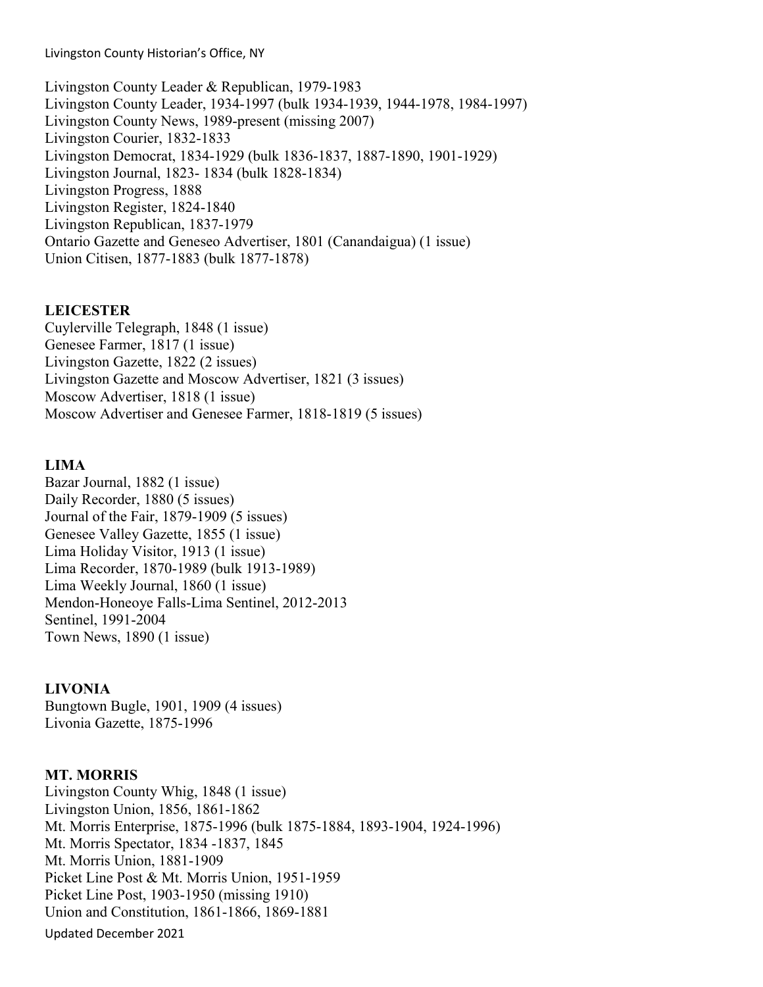Livingston County Historian's Office, NY

Livingston County Leader & Republican, 1979-1983 Livingston County Leader, 1934-1997 (bulk 1934-1939, 1944-1978, 1984-1997) Livingston County News, 1989-present (missing 2007) Livingston Courier, 1832-1833 Livingston Democrat, 1834-1929 (bulk 1836-1837, 1887-1890, 1901-1929) Livingston Journal, 1823- 1834 (bulk 1828-1834) Livingston Progress, 1888 Livingston Register, 1824-1840 Livingston Republican, 1837-1979 Ontario Gazette and Geneseo Advertiser, 1801 (Canandaigua) (1 issue) Union Citisen, 1877-1883 (bulk 1877-1878)

#### LEICESTER

Cuylerville Telegraph, 1848 (1 issue) Genesee Farmer, 1817 (1 issue) Livingston Gazette, 1822 (2 issues) Livingston Gazette and Moscow Advertiser, 1821 (3 issues) Moscow Advertiser, 1818 (1 issue) Moscow Advertiser and Genesee Farmer, 1818-1819 (5 issues)

#### LIMA

Bazar Journal, 1882 (1 issue) Daily Recorder, 1880 (5 issues) Journal of the Fair, 1879-1909 (5 issues) Genesee Valley Gazette, 1855 (1 issue) Lima Holiday Visitor, 1913 (1 issue) Lima Recorder, 1870-1989 (bulk 1913-1989) Lima Weekly Journal, 1860 (1 issue) Mendon-Honeoye Falls-Lima Sentinel, 2012-2013 Sentinel, 1991-2004 Town News, 1890 (1 issue)

#### LIVONIA

Bungtown Bugle, 1901, 1909 (4 issues) Livonia Gazette, 1875-1996

#### MT. MORRIS

Livingston County Whig, 1848 (1 issue) Livingston Union, 1856, 1861-1862 Mt. Morris Enterprise, 1875-1996 (bulk 1875-1884, 1893-1904, 1924-1996) Mt. Morris Spectator, 1834 -1837, 1845 Mt. Morris Union, 1881-1909 Picket Line Post & Mt. Morris Union, 1951-1959 Picket Line Post, 1903-1950 (missing 1910) Union and Constitution, 1861-1866, 1869-1881

Updated December 2021